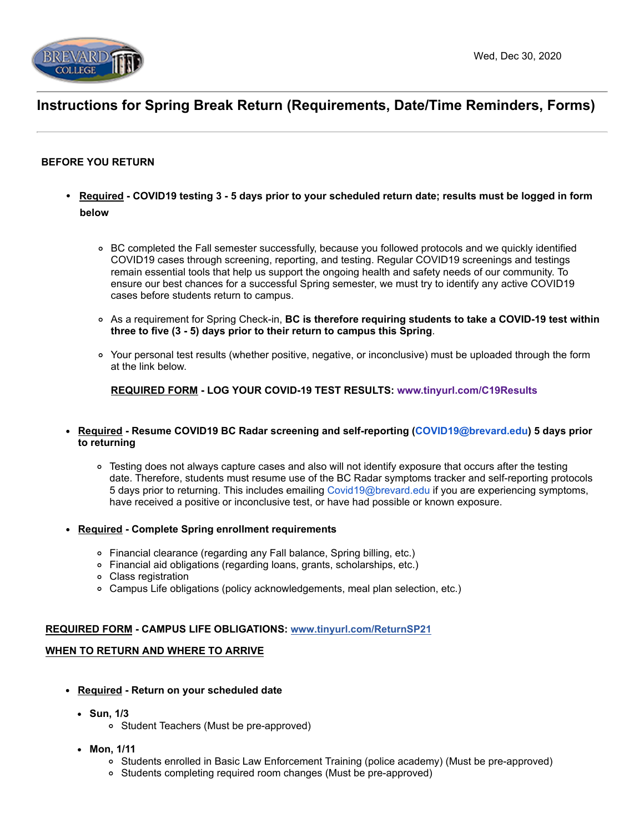

# **Instructions for Spring Break Return (Requirements, Date/Time Reminders, Forms)**

## **BEFORE YOU RETURN**

- **Required COVID19 testing 3 5 days prior to your scheduled return date; results must be logged in form below**
	- BC completed the Fall semester successfully, because you followed protocols and we quickly identified COVID19 cases through screening, reporting, and testing. Regular COVID19 screenings and testings remain essential tools that help us support the ongoing health and safety needs of our community. To ensure our best chances for a successful Spring semester, we must try to identify any active COVID19 cases before students return to campus.
	- As a requirement for Spring Check-in, **BC is therefore requiring students to take a COVID-19 test within three to five (3 - 5) days prior to their return to campus this Spring**.
	- Your personal test results (whether positive, negative, or inconclusive) must be uploaded through the form at the link below.

**REQUIRED FORM - LOG YOUR COVID-19 TEST RESULTS: [www.tinyurl.com/C19Results](https://brevard-dot-yamm-track.appspot.com/Redirect?ukey=1stfj8lv8QGpMSJm_aNvbKOWm872UTfAwWuJoYm0TEus-0&key=YAMMID-51312914&link=http%3A%2F%2Fwww.tinyurl.com%2FC19Results)**

- **Required Resume COVID19 BC Radar screening and self-reporting ([COVID19@brevard.edu\)](mailto:COVID19@brevard.edu) 5 days prior to returning**
	- Testing does not always capture cases and also will not identify exposure that occurs after the testing date. Therefore, students must resume use of the BC Radar symptoms tracker and self-reporting protocols 5 days prior to returning. This includes emailing [Covid19@brevard.edu](mailto:Covid19@brevard.edu) if you are experiencing symptoms, have received a positive or inconclusive test, or have had possible or known exposure.
- **Required Complete Spring enrollment requirements** 
	- Financial clearance (regarding any Fall balance, Spring billing, etc.)
	- Financial aid obligations (regarding loans, grants, scholarships, etc.)
	- Class registration
	- Campus Life obligations (policy acknowledgements, meal plan selection, etc.)

### **REQUIRED FORM - CAMPUS LIFE OBLIGATIONS: [www.tinyurl.com/ReturnSP21](https://brevard-dot-yamm-track.appspot.com/Redirect?ukey=1stfj8lv8QGpMSJm_aNvbKOWm872UTfAwWuJoYm0TEus-0&key=YAMMID-51312914&link=https%3A%2F%2Fwww.tinyurl.com%2FReturnSP21)**

#### **WHEN TO RETURN AND WHERE TO ARRIVE**

- **Required Return on your scheduled date** 
	- **Sun, 1/3**
		- Student Teachers (Must be pre-approved)
	- **Mon, 1/11**
		- Students enrolled in Basic Law Enforcement Training (police academy) (Must be pre-approved)
		- Students completing required room changes (Must be pre-approved)